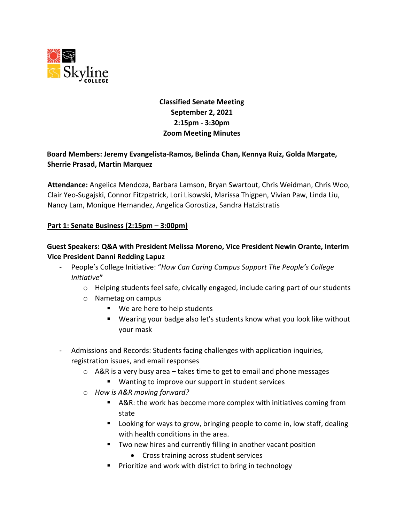

# **Classified Senate Meeting September 2, 2021 2:15pm - 3:30pm Zoom Meeting Minutes**

# **Board Members: Jeremy Evangelista-Ramos, Belinda Chan, Kennya Ruiz, Golda Margate, Sherrie Prasad, Martin Marquez**

**Attendance:** Angelica Mendoza, Barbara Lamson, Bryan Swartout, Chris Weidman, Chris Woo, Clair Yeo-Sugajski, Connor Fitzpatrick, Lori Lisowski, Marissa Thigpen, Vivian Paw, Linda Liu, Nancy Lam, Monique Hernandez, Angelica Gorostiza, Sandra Hatzistratis

#### **Part 1: Senate Business (2:15pm – 3:00pm)**

## **Guest Speakers: Q&A with President Melissa Moreno, Vice President Newin Orante, Interim Vice President Danni Redding Lapuz**

- People's College Initiative: "*How Can Caring Campus Support The People's College Initiative***"**
	- $\circ$  Helping students feel safe, civically engaged, include caring part of our students
	- o Nametag on campus
		- We are here to help students
		- Wearing your badge also let's students know what you look like without your mask
- Admissions and Records: Students facing challenges with application inquiries, registration issues, and email responses
	- $\circ$  A&R is a very busy area takes time to get to email and phone messages
		- Wanting to improve our support in student services
	- o *How is A&R moving forward?*
		- A&R: the work has become more complex with initiatives coming from state
		- **Looking for ways to grow, bringing people to come in, low staff, dealing** with health conditions in the area.
		- Two new hires and currently filling in another vacant position
			- Cross training across student services
		- **Prioritize and work with district to bring in technology**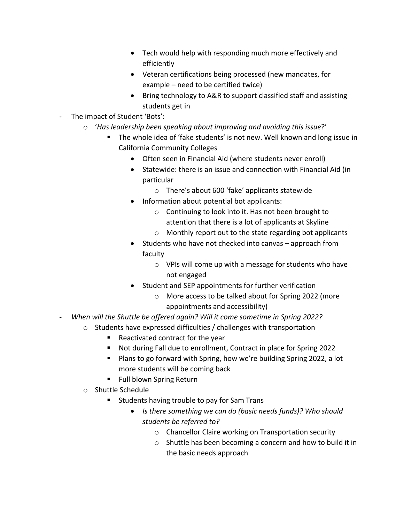- Tech would help with responding much more effectively and efficiently
- Veteran certifications being processed (new mandates, for example – need to be certified twice)
- Bring technology to A&R to support classified staff and assisting students get in
- The impact of Student 'Bots':
	- o '*Has leadership been speaking about improving and avoiding this issue*?'
		- The whole idea of 'fake students' is not new. Well known and long issue in California Community Colleges
			- Often seen in Financial Aid (where students never enroll)
			- Statewide: there is an issue and connection with Financial Aid (in particular
				- o There's about 600 'fake' applicants statewide
			- Information about potential bot applicants:
				- o Continuing to look into it. Has not been brought to attention that there is a lot of applicants at Skyline
				- o Monthly report out to the state regarding bot applicants
			- Students who have not checked into canvas approach from faculty
				- o VPIs will come up with a message for students who have not engaged
			- Student and SEP appointments for further verification
				- o More access to be talked about for Spring 2022 (more appointments and accessibility)
- *When will the Shuttle be offered again? Will it come sometime in Spring 2022?* 
	- o Students have expressed difficulties / challenges with transportation
		- Reactivated contract for the year
		- Not during Fall due to enrollment, Contract in place for Spring 2022
		- Plans to go forward with Spring, how we're building Spring 2022, a lot more students will be coming back
		- **Full blown Spring Return**
	- o Shuttle Schedule
		- Students having trouble to pay for Sam Trans
			- *Is there something we can do (basic needs funds)? Who should students be referred to?* 
				- o Chancellor Claire working on Transportation security
				- o Shuttle has been becoming a concern and how to build it in the basic needs approach